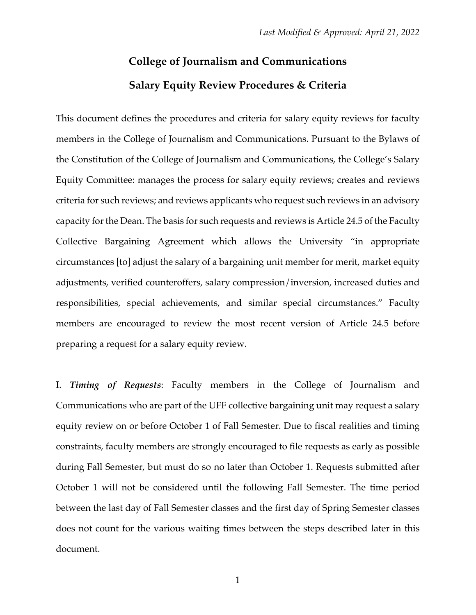## **College of Journalism and Communications Salary Equity Review Procedures & Criteria**

This document defines the procedures and criteria for salary equity reviews for faculty members in the College of Journalism and Communications. Pursuant to the Bylaws of the Constitution of the College of Journalism and Communications, the College's Salary Equity Committee: manages the process for salary equity reviews; creates and reviews criteria for such reviews; and reviews applicants who request such reviews in an advisory capacity for the Dean. The basis for such requests and reviews is Article 24.5 of the Faculty Collective Bargaining Agreement which allows the University "in appropriate circumstances [to] adjust the salary of a bargaining unit member for merit, market equity adjustments, verified counteroffers, salary compression/inversion, increased duties and responsibilities, special achievements, and similar special circumstances." Faculty members are encouraged to review the most recent version of Article 24.5 before preparing a request for a salary equity review.

I. *Timing of Requests*: Faculty members in the College of Journalism and Communications who are part of the UFF collective bargaining unit may request a salary equity review on or before October 1 of Fall Semester. Due to fiscal realities and timing constraints, faculty members are strongly encouraged to file requests as early as possible during Fall Semester, but must do so no later than October 1. Requests submitted after October 1 will not be considered until the following Fall Semester. The time period between the last day of Fall Semester classes and the first day of Spring Semester classes does not count for the various waiting times between the steps described later in this document.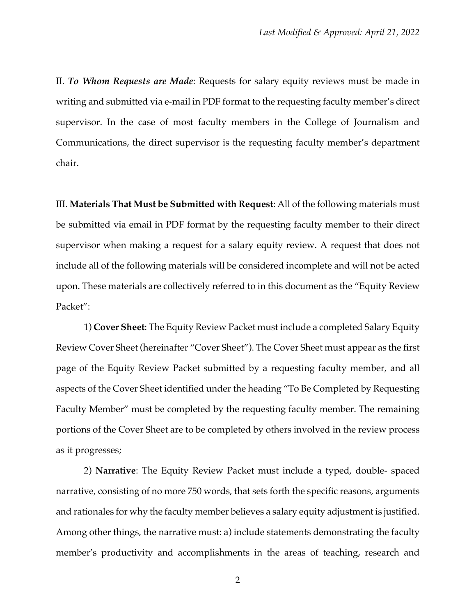II. *To Whom Requests are Made*: Requests for salary equity reviews must be made in writing and submitted via e-mail in PDF format to the requesting faculty member's direct supervisor. In the case of most faculty members in the College of Journalism and Communications, the direct supervisor is the requesting faculty member's department chair.

III. **Materials That Must be Submitted with Request**: All of the following materials must be submitted via email in PDF format by the requesting faculty member to their direct supervisor when making a request for a salary equity review. A request that does not include all of the following materials will be considered incomplete and will not be acted upon. These materials are collectively referred to in this document as the "Equity Review Packet":

1) **Cover Sheet**: The Equity Review Packet must include a completed Salary Equity Review Cover Sheet (hereinafter "Cover Sheet"). The Cover Sheet must appear as the first page of the Equity Review Packet submitted by a requesting faculty member, and all aspects of the Cover Sheet identified under the heading "To Be Completed by Requesting Faculty Member" must be completed by the requesting faculty member. The remaining portions of the Cover Sheet are to be completed by others involved in the review process as it progresses;

2) **Narrative**: The Equity Review Packet must include a typed, double- spaced narrative, consisting of no more 750 words, that sets forth the specific reasons, arguments and rationales for why the faculty member believes a salary equity adjustment is justified. Among other things, the narrative must: a) include statements demonstrating the faculty member's productivity and accomplishments in the areas of teaching, research and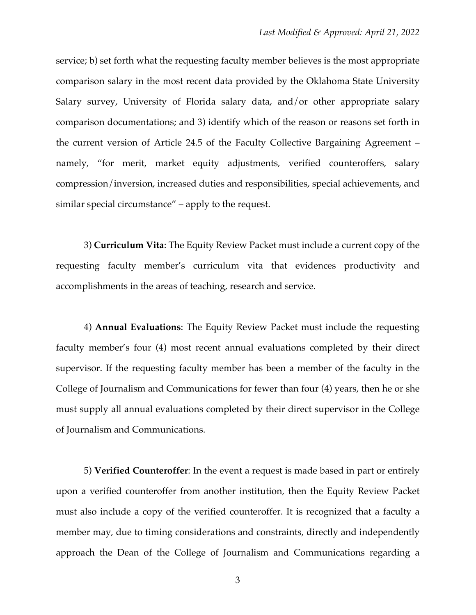service; b) set forth what the requesting faculty member believes is the most appropriate comparison salary in the most recent data provided by the Oklahoma State University Salary survey, University of Florida salary data, and/or other appropriate salary comparison documentations; and 3) identify which of the reason or reasons set forth in the current version of Article 24.5 of the Faculty Collective Bargaining Agreement – namely, "for merit, market equity adjustments, verified counteroffers, salary compression/inversion, increased duties and responsibilities, special achievements, and similar special circumstance" – apply to the request.

3) **Curriculum Vita**: The Equity Review Packet must include a current copy of the requesting faculty member's curriculum vita that evidences productivity and accomplishments in the areas of teaching, research and service.

4) **Annual Evaluations**: The Equity Review Packet must include the requesting faculty member's four (4) most recent annual evaluations completed by their direct supervisor. If the requesting faculty member has been a member of the faculty in the College of Journalism and Communications for fewer than four (4) years, then he or she must supply all annual evaluations completed by their direct supervisor in the College of Journalism and Communications.

5) **Verified Counteroffer**: In the event a request is made based in part or entirely upon a verified counteroffer from another institution, then the Equity Review Packet must also include a copy of the verified counteroffer. It is recognized that a faculty a member may, due to timing considerations and constraints, directly and independently approach the Dean of the College of Journalism and Communications regarding a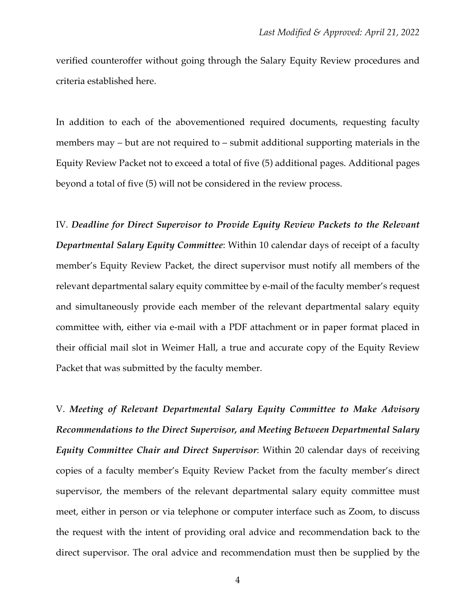verified counteroffer without going through the Salary Equity Review procedures and criteria established here.

In addition to each of the abovementioned required documents, requesting faculty members may – but are not required to – submit additional supporting materials in the Equity Review Packet not to exceed a total of five (5) additional pages. Additional pages beyond a total of five (5) will not be considered in the review process.

IV. *Deadline for Direct Supervisor to Provide Equity Review Packets to the Relevant Departmental Salary Equity Committee*: Within 10 calendar days of receipt of a faculty member's Equity Review Packet, the direct supervisor must notify all members of the relevant departmental salary equity committee by e-mail of the faculty member's request and simultaneously provide each member of the relevant departmental salary equity committee with, either via e-mail with a PDF attachment or in paper format placed in their official mail slot in Weimer Hall, a true and accurate copy of the Equity Review Packet that was submitted by the faculty member.

V. *Meeting of Relevant Departmental Salary Equity Committee to Make Advisory Recommendations to the Direct Supervisor, and Meeting Between Departmental Salary Equity Committee Chair and Direct Supervisor*: Within 20 calendar days of receiving copies of a faculty member's Equity Review Packet from the faculty member's direct supervisor, the members of the relevant departmental salary equity committee must meet, either in person or via telephone or computer interface such as Zoom, to discuss the request with the intent of providing oral advice and recommendation back to the direct supervisor. The oral advice and recommendation must then be supplied by the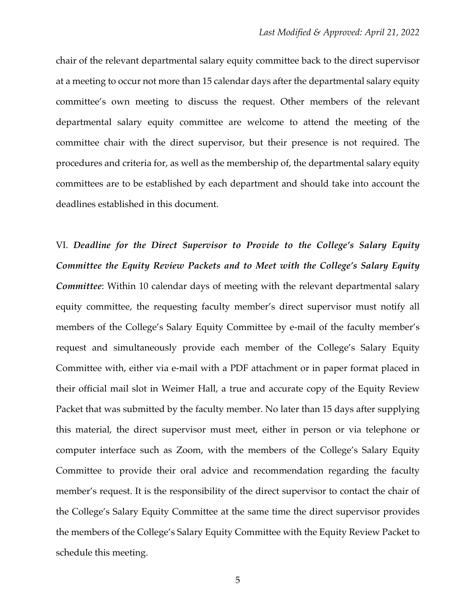chair of the relevant departmental salary equity committee back to the direct supervisor at a meeting to occur not more than 15 calendar days after the departmental salary equity committee's own meeting to discuss the request. Other members of the relevant departmental salary equity committee are welcome to attend the meeting of the committee chair with the direct supervisor, but their presence is not required. The procedures and criteria for, as well as the membership of, the departmental salary equity committees are to be established by each department and should take into account the deadlines established in this document.

VI. *Deadline for the Direct Supervisor to Provide to the College's Salary Equity Committee the Equity Review Packets and to Meet with the College's Salary Equity Committee*: Within 10 calendar days of meeting with the relevant departmental salary equity committee, the requesting faculty member's direct supervisor must notify all members of the College's Salary Equity Committee by e-mail of the faculty member's request and simultaneously provide each member of the College's Salary Equity Committee with, either via e-mail with a PDF attachment or in paper format placed in their official mail slot in Weimer Hall, a true and accurate copy of the Equity Review Packet that was submitted by the faculty member. No later than 15 days after supplying this material, the direct supervisor must meet, either in person or via telephone or computer interface such as Zoom, with the members of the College's Salary Equity Committee to provide their oral advice and recommendation regarding the faculty member's request. It is the responsibility of the direct supervisor to contact the chair of the College's Salary Equity Committee at the same time the direct supervisor provides the members of the College's Salary Equity Committee with the Equity Review Packet to schedule this meeting.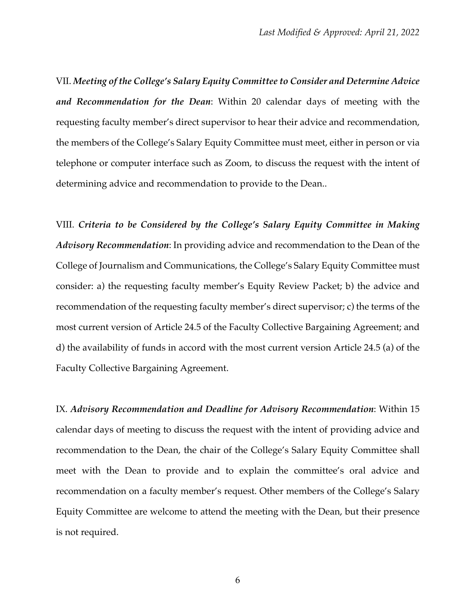VII. *Meeting of the College's Salary Equity Committee to Consider and Determine Advice and Recommendation for the Dean*: Within 20 calendar days of meeting with the requesting faculty member's direct supervisor to hear their advice and recommendation, the members of the College's Salary Equity Committee must meet, either in person or via telephone or computer interface such as Zoom, to discuss the request with the intent of determining advice and recommendation to provide to the Dean..

VIII. *Criteria to be Considered by the College's Salary Equity Committee in Making Advisory Recommendation*: In providing advice and recommendation to the Dean of the College of Journalism and Communications, the College's Salary Equity Committee must consider: a) the requesting faculty member's Equity Review Packet; b) the advice and recommendation of the requesting faculty member's direct supervisor; c) the terms of the most current version of Article 24.5 of the Faculty Collective Bargaining Agreement; and d) the availability of funds in accord with the most current version Article 24.5 (a) of the Faculty Collective Bargaining Agreement.

IX. *Advisory Recommendation and Deadline for Advisory Recommendation*: Within 15 calendar days of meeting to discuss the request with the intent of providing advice and recommendation to the Dean, the chair of the College's Salary Equity Committee shall meet with the Dean to provide and to explain the committee's oral advice and recommendation on a faculty member's request. Other members of the College's Salary Equity Committee are welcome to attend the meeting with the Dean, but their presence is not required.